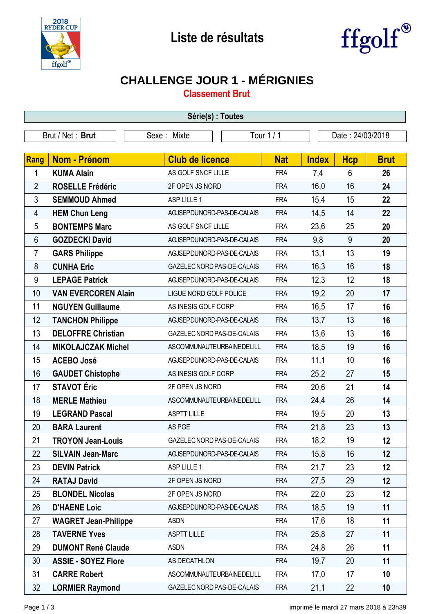



## **CHALLENGE JOUR 1 - MÉRIGNIES**

**Classement Brut**

| Série(s) : Toutes |                             |                            |            |              |                  |             |  |
|-------------------|-----------------------------|----------------------------|------------|--------------|------------------|-------------|--|
| Brut / Net: Brut  |                             | Sexe: Mixte                | Tour 1 / 1 |              | Date: 24/03/2018 |             |  |
|                   |                             |                            |            |              |                  |             |  |
| <b>Rang</b>       | Nom - Prénom                | <b>Club de licence</b>     | <b>Nat</b> | <b>Index</b> | <b>Hcp</b>       | <b>Brut</b> |  |
| 1                 | <b>KUMA Alain</b>           | AS GOLF SNCF LILLE         | <b>FRA</b> | 7,4          | 6                | 26          |  |
| $\overline{2}$    | <b>ROSELLE Frédéric</b>     | 2F OPEN JS NORD            | <b>FRA</b> | 16,0         | 16               | 24          |  |
| 3                 | <b>SEMMOUD Ahmed</b>        | ASP LILLE 1                | <b>FRA</b> | 15,4         | 15               | 22          |  |
| 4                 | <b>HEM Chun Leng</b>        | AGJSEPDUNORD-PAS-DE-CALAIS | <b>FRA</b> | 14,5         | 14               | 22          |  |
| 5                 | <b>BONTEMPS Marc</b>        | AS GOLF SNCF LILLE         | <b>FRA</b> | 23,6         | 25               | 20          |  |
| 6                 | <b>GOZDECKI David</b>       | AGJSEPDUNORD-PAS-DE-CALAIS | <b>FRA</b> | 9,8          | 9                | 20          |  |
| 7                 | <b>GARS Philippe</b>        | AGJSEPDUNORD-PAS-DE-CALAIS | <b>FRA</b> | 13,1         | 13               | 19          |  |
| 8                 | <b>CUNHA Eric</b>           | GAZELEC NORD PAS-DE-CALAIS | <b>FRA</b> | 16,3         | 16               | 18          |  |
| 9                 | <b>LEPAGE Patrick</b>       | AGJSEPDUNORD-PAS-DE-CALAIS | <b>FRA</b> | 12,3         | 12               | 18          |  |
| 10                | <b>VAN EVERCOREN Alain</b>  | LIGUE NORD GOLF POLICE     | <b>FRA</b> | 19,2         | 20               | 17          |  |
| 11                | <b>NGUYEN Guillaume</b>     | AS INESIS GOLF CORP        | <b>FRA</b> | 16,5         | 17               | 16          |  |
| 12                | <b>TANCHON Philippe</b>     | AGJSEPDUNORD-PAS-DE-CALAIS | <b>FRA</b> | 13,7         | 13               | 16          |  |
| 13                | <b>DELOFFRE Christian</b>   | GAZELEC NORD PAS-DE-CALAIS | <b>FRA</b> | 13,6         | 13               | 16          |  |
| 14                | <b>MIKOLAJCZAK Michel</b>   | ASCOMMUNAUTEURBAINEDELILL  | <b>FRA</b> | 18,5         | 19               | 16          |  |
| 15                | <b>ACEBO José</b>           | AGJSEPDUNORD-PAS-DE-CALAIS | <b>FRA</b> | 11,1         | 10               | 16          |  |
| 16                | <b>GAUDET Chistophe</b>     | AS INESIS GOLF CORP        | <b>FRA</b> | 25,2         | 27               | 15          |  |
| 17                | <b>STAVOT</b> Éric          | 2F OPEN JS NORD            | <b>FRA</b> | 20,6         | 21               | 14          |  |
| 18                | <b>MERLE Mathieu</b>        | ASCOMMUNAUTEURBAINEDELILL  | <b>FRA</b> | 24,4         | 26               | 14          |  |
| 19                | <b>LEGRAND Pascal</b>       | <b>ASPTT LILLE</b>         | <b>FRA</b> | 19,5         | 20               | 13          |  |
| 20                | <b>BARA Laurent</b>         | AS PGE                     | <b>FRA</b> | 21,8         | 23               | 13          |  |
| 21                | <b>TROYON Jean-Louis</b>    | GAZELEC NORD PAS-DE-CALAIS | <b>FRA</b> | 18,2         | 19               | 12          |  |
| 22                | <b>SILVAIN Jean-Marc</b>    | AGJSEPDUNORD-PAS-DE-CALAIS | <b>FRA</b> | 15,8         | 16               | 12          |  |
| 23                | <b>DEVIN Patrick</b>        | ASP LILLE 1                | <b>FRA</b> | 21,7         | 23               | 12          |  |
| 24                | <b>RATAJ David</b>          | 2F OPEN JS NORD            | <b>FRA</b> | 27,5         | 29               | 12          |  |
| 25                | <b>BLONDEL Nicolas</b>      | 2F OPEN JS NORD            | <b>FRA</b> | 22,0         | 23               | 12          |  |
| 26                | <b>D'HAENE Loic</b>         | AGJSEPDUNORD-PAS-DE-CALAIS | <b>FRA</b> | 18,5         | 19               | 11          |  |
| 27                | <b>WAGRET Jean-Philippe</b> | <b>ASDN</b>                | <b>FRA</b> | 17,6         | 18               | 11          |  |
| 28                | <b>TAVERNE Yves</b>         | <b>ASPTT LILLE</b>         | <b>FRA</b> | 25,8         | 27               | 11          |  |
| 29                | <b>DUMONT René Claude</b>   | <b>ASDN</b>                | <b>FRA</b> | 24,8         | 26               | 11          |  |
| 30                | <b>ASSIE - SOYEZ Flore</b>  | AS DECATHLON               | <b>FRA</b> | 19,7         | 20               | 11          |  |
| 31                | <b>CARRE Robert</b>         | ASCOMMUNAUTEURBAINEDELILL  | <b>FRA</b> | 17,0         | 17               | 10          |  |
| 32                | <b>LORMIER Raymond</b>      | GAZELEC NORD PAS-DE-CALAIS | <b>FRA</b> | 21,1         | 22               | 10          |  |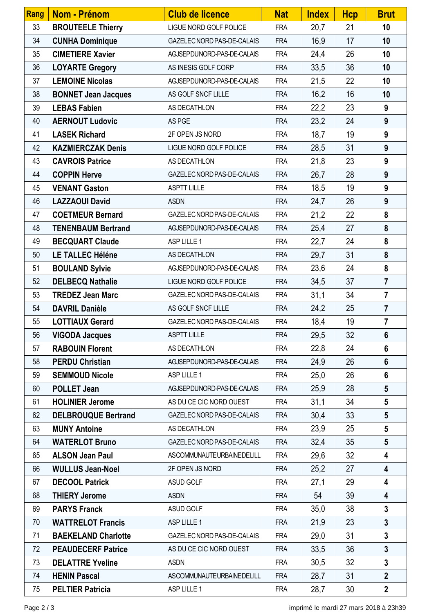| <b>Rang</b> | Nom - Prénom               | <b>Club de licence</b>     | <b>Nat</b> | <b>Index</b> | <b>Hcp</b> | <b>Brut</b>             |
|-------------|----------------------------|----------------------------|------------|--------------|------------|-------------------------|
| 33          | <b>BROUTEELE Thierry</b>   | LIGUE NORD GOLF POLICE     | <b>FRA</b> | 20,7         | 21         | 10                      |
| 34          | <b>CUNHA Dominique</b>     | GAZELEC NORD PAS-DE-CALAIS | <b>FRA</b> | 16,9         | 17         | 10                      |
| 35          | <b>CIMETIERE Xavier</b>    | AGJSEPDUNORD-PAS-DE-CALAIS | <b>FRA</b> | 24,4         | 26         | 10                      |
| 36          | <b>LOYARTE Gregory</b>     | AS INESIS GOLF CORP        | <b>FRA</b> | 33,5         | 36         | 10                      |
| 37          | <b>LEMOINE Nicolas</b>     | AGJSEPDUNORD-PAS-DE-CALAIS | <b>FRA</b> | 21,5         | 22         | 10                      |
| 38          | <b>BONNET Jean Jacques</b> | AS GOLF SNCF LILLE         | <b>FRA</b> | 16,2         | 16         | 10                      |
| 39          | <b>LEBAS Fabien</b>        | AS DECATHLON               | <b>FRA</b> | 22,2         | 23         | 9                       |
| 40          | <b>AERNOUT Ludovic</b>     | AS PGE                     | <b>FRA</b> | 23,2         | 24         | $\boldsymbol{9}$        |
| 41          | <b>LASEK Richard</b>       | 2F OPEN JS NORD            | <b>FRA</b> | 18,7         | 19         | 9                       |
| 42          | <b>KAZMIERCZAK Denis</b>   | LIGUE NORD GOLF POLICE     | <b>FRA</b> | 28,5         | 31         | 9                       |
| 43          | <b>CAVROIS Patrice</b>     | AS DECATHLON               | <b>FRA</b> | 21,8         | 23         | 9                       |
| 44          | <b>COPPIN Herve</b>        | GAZELEC NORD PAS-DE-CALAIS | <b>FRA</b> | 26,7         | 28         | 9                       |
| 45          | <b>VENANT Gaston</b>       | <b>ASPTT LILLE</b>         | <b>FRA</b> | 18,5         | 19         | 9                       |
| 46          | <b>LAZZAOUI David</b>      | <b>ASDN</b>                | <b>FRA</b> | 24,7         | 26         | 9                       |
| 47          | <b>COETMEUR Bernard</b>    | GAZELEC NORD PAS-DE-CALAIS | <b>FRA</b> | 21,2         | 22         | 8                       |
| 48          | <b>TENENBAUM Bertrand</b>  | AGJSEPDUNORD-PAS-DE-CALAIS | <b>FRA</b> | 25,4         | 27         | 8                       |
| 49          | <b>BECQUART Claude</b>     | ASP LILLE 1                | <b>FRA</b> | 22,7         | 24         | 8                       |
| 50          | <b>LE TALLEC Héléne</b>    | AS DECATHLON               | <b>FRA</b> | 29,7         | 31         | 8                       |
| 51          | <b>BOULAND Sylvie</b>      | AGJSEPDUNORD-PAS-DE-CALAIS | <b>FRA</b> | 23,6         | 24         | 8                       |
| 52          | <b>DELBECQ Nathalie</b>    | LIGUE NORD GOLF POLICE     | <b>FRA</b> | 34,5         | 37         | $\overline{7}$          |
| 53          | <b>TREDEZ Jean Marc</b>    | GAZELEC NORD PAS-DE-CALAIS | <b>FRA</b> | 31,1         | 34         | $\overline{7}$          |
| 54          | <b>DAVRIL Danièle</b>      | AS GOLF SNCF LILLE         | <b>FRA</b> | 24,2         | 25         | $\overline{7}$          |
| 55          | <b>LOTTIAUX Gerard</b>     | GAZELEC NORD PAS-DE-CALAIS | <b>FRA</b> | 18,4         | 19         | $\overline{7}$          |
| 56          | <b>VIGODA Jacques</b>      | <b>ASPTT LILLE</b>         | <b>FRA</b> | 29,5         | 32         | $6\phantom{1}$          |
| 57          | <b>RABOUIN Florent</b>     | AS DECATHLON               | <b>FRA</b> | 22,8         | 24         | $6\phantom{1}$          |
| 58          | <b>PERDU Christian</b>     | AGJSEPDUNORD-PAS-DE-CALAIS | <b>FRA</b> | 24,9         | 26         | $6\phantom{1}$          |
| 59          | <b>SEMMOUD Nicole</b>      | ASP LILLE 1                | <b>FRA</b> | 25,0         | 26         | $6\phantom{1}$          |
| 60          | <b>POLLET Jean</b>         | AGJSEPDUNORD-PAS-DE-CALAIS | <b>FRA</b> | 25,9         | 28         | $5\phantom{.0}$         |
| 61          | <b>HOLINIER Jerome</b>     | AS DU CE CIC NORD OUEST    | <b>FRA</b> | 31,1         | 34         | $5\phantom{.0}$         |
| 62          | <b>DELBROUQUE Bertrand</b> | GAZELEC NORD PAS-DE-CALAIS | <b>FRA</b> | 30,4         | 33         | $5\phantom{.0}$         |
| 63          | <b>MUNY Antoine</b>        | AS DECATHLON               | <b>FRA</b> | 23,9         | 25         | $5\phantom{.0}$         |
| 64          | <b>WATERLOT Bruno</b>      | GAZELEC NORD PAS-DE-CALAIS | <b>FRA</b> | 32,4         | 35         | $5\phantom{.0}$         |
| 65          | <b>ALSON Jean Paul</b>     | ASCOMMUNAUTEURBAINEDELILL  | <b>FRA</b> | 29,6         | 32         | 4                       |
| 66          | <b>WULLUS Jean-Noel</b>    | 2F OPEN JS NORD            | <b>FRA</b> | 25,2         | 27         | 4                       |
| 67          | <b>DECOOL Patrick</b>      | ASUD GOLF                  | <b>FRA</b> | 27,1         | 29         | 4                       |
| 68          | <b>THIERY Jerome</b>       | <b>ASDN</b>                | <b>FRA</b> | 54           | 39         | 4                       |
| 69          | <b>PARYS Franck</b>        | ASUD GOLF                  | <b>FRA</b> | 35,0         | 38         | $\mathbf{3}$            |
| 70          | <b>WATTRELOT Francis</b>   | ASP LILLE 1                | <b>FRA</b> | 21,9         | 23         | $\overline{\mathbf{3}}$ |
| 71          | <b>BAEKELAND Charlotte</b> | GAZELEC NORD PAS-DE-CALAIS | <b>FRA</b> | 29,0         | 31         | $\overline{\mathbf{3}}$ |
| 72          | <b>PEAUDECERF Patrice</b>  | AS DU CE CIC NORD OUEST    | <b>FRA</b> | 33,5         | 36         | $\overline{3}$          |
| 73          | <b>DELATTRE Yveline</b>    | <b>ASDN</b>                | <b>FRA</b> | 30,5         | 32         | $\overline{3}$          |
| 74          | <b>HENIN Pascal</b>        | ASCOMMUNAUTEURBAINEDELILL  | <b>FRA</b> | 28,7         | 31         | $\overline{2}$          |
| 75          | <b>PELTIER Patricia</b>    | ASP LILLE 1                | <b>FRA</b> | 28,7         | 30         | $\overline{2}$          |